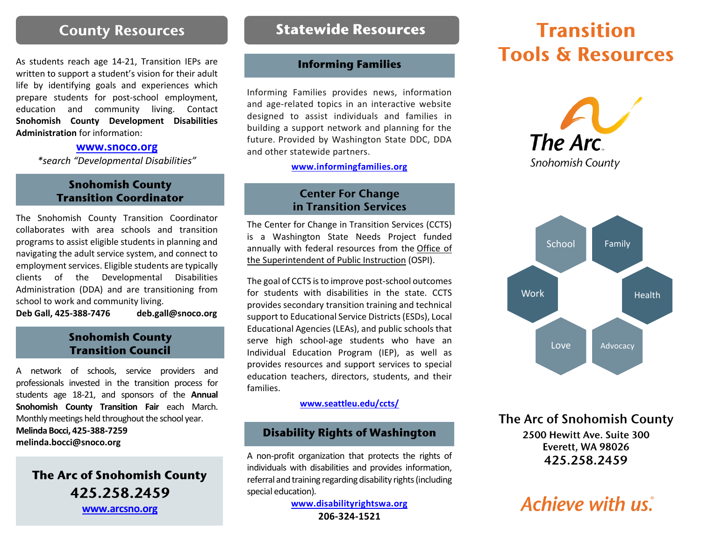### **County Resources**

As students reach age 14-21, Transition IEPs are written to support a student's vision for their adult life by identifying goals and experiences which prepare students for post-school employment, education and community living. Contact **Snohomish County Development Disabilities Administration** for information:

#### **[www.snoco.org](http://www.snoco.org/)**

*\*search "Developmental Disabilities"*

### **Snohomish County Transition Coordinator**

The Snohomish County Transition Coordinator collaborates with area schools and transition programs to assist eligible students in planning and navigating the adult service system, and connect to employment services. Eligible students are typically clients of the Developmental Disabilities Administration (DDA) and are transitioning from school to work and community living.

**Deb Gall, 425-388-7476 [deb.gall@snoco.org](mailto:deb.gall@snoco.org)**

### **Snohomish County Transition Council**

A network of schools, service providers and professionals invested in the transition process for students age 18-21, and sponsors of the **Annual Snohomish County Transition Fair** each March. Monthly meetings held throughout the school year.

**Melinda Bocci, 425-388-7259 [melinda.bocci@snoco.org](mailto:melinda.bocci@snoco.org)**

## The Arc of Snohomish County 425.258.2459 **[www.arcsno.org](http://www.arcsno.org/)**

### **Statewide Resources**

### **Informing Families**

Informing Families provides news, information and age-related topics in an interactive website designed to assist individuals and families in building a support network and planning for the future. Provided by Washington State DDC, DDA and other statewide partners.

**[www.informingfamilies.org](http://www.informingfamilies.org/)**

### **Center For Change** in Transition Services

The Center for Change in Transition Services (CCTS) is a Washington State Needs Project funded annually with federal resources from the [Office](http://www.k12.wa.us/) of the [Superintendent](http://www.k12.wa.us/) of Public Instruction (OSPI).

The goal of CCTS is to improve post-school outcomes for students with disabilities in the state. CCTS provides secondary transition training and technical support to Educational Service Districts (ESDs), Local Educational Agencies (LEAs), and public schools that serve high school-age students who have an Individual Education Program (IEP), as well as provides resources and support services to special education teachers, directors, students, and their families.

#### **[www.seattleu.edu/ccts/](https://www.seattleu.edu/ccts/)**

### **Disability Rights of Washington**

A non-profit organization that protects the rights of individuals with disabilities and provides information, referral and training regarding disability rights (including special education).

> **[www.disabilityrightswa.org](http://www.disabilityrightswa.org/) 206-324-1521**

# **Transition Tools & Resources**





The Arc of Snohomish County 2500 Hewitt Ave. Suite 300 Everett, WA 98026 425.258.2459

# **Achieve with us.**